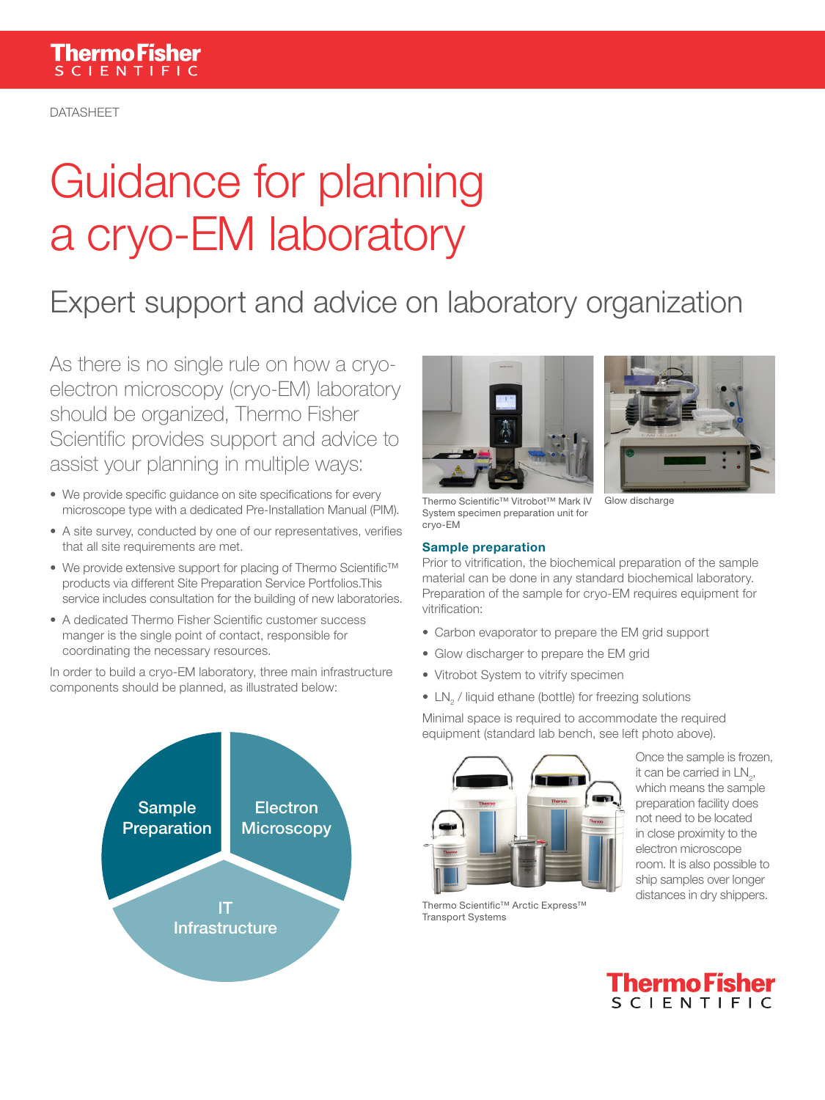DATASHEET

# Guidance for planning a cryo-EM laboratory

## Expert support and advice on laboratory organization

As there is no single rule on how a cryoelectron microscopy (cryo-EM) laboratory should be organized, Thermo Fisher Scientific provides support and advice to assist your planning in multiple ways:

- We provide specific guidance on site specifications for every microscope type with a dedicated Pre-Installation Manual (PIM).
- A site survey, conducted by one of our representatives, verifies that all site requirements are met.
- We provide extensive support for placing of Thermo Scientific™ products via different Site Preparation Service Portfolios.This service includes consultation for the building of new laboratories.
- A dedicated Thermo Fisher Scientific customer success manger is the single point of contact, responsible for coordinating the necessary resources.

In order to build a cryo-EM laboratory, three main infrastructure components should be planned, as illustrated below:







Thermo Scientific™ Vitrobot™ Mark IV System specimen preparation unit for cryo-EM Glow discharge

#### Sample preparation

Prior to vitrification, the biochemical preparation of the sample material can be done in any standard biochemical laboratory. Preparation of the sample for cryo-EM requires equipment for vitrification:

- Carbon evaporator to prepare the EM grid support
- Glow discharger to prepare the EM grid
- Vitrobot System to vitrify specimen
- $\bullet$  LN<sub>2</sub> / liquid ethane (bottle) for freezing solutions

Minimal space is required to accommodate the required equipment (standard lab bench, see left photo above).



Thermo Scientific™ Arctic Express™ Transport Systems

Once the sample is frozen, it can be carried in  $LN_{2}$ , which means the sample preparation facility does not need to be located in close proximity to the electron microscope room. It is also possible to ship samples over longer distances in dry shippers.